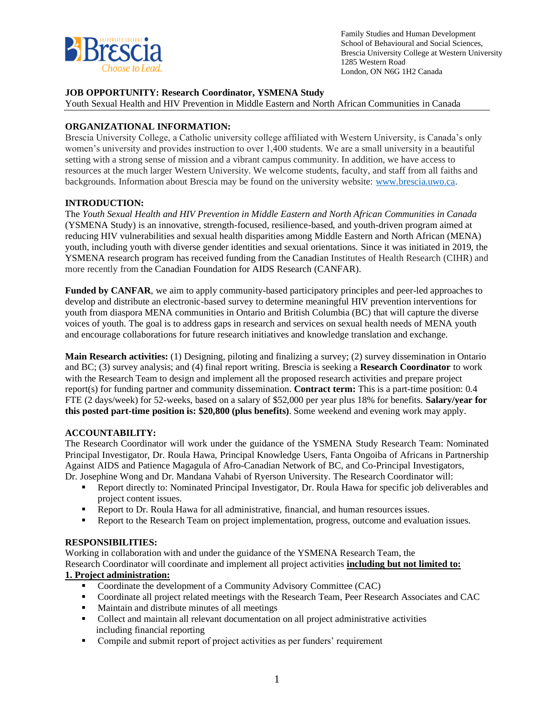

Family Studies and Human Development School of Behavioural and Social Sciences, Brescia University College at Western University 1285 Western Road London, ON N6G 1H2 Canada

## **JOB OPPORTUNITY: Research Coordinator, YSMENA Study**

Youth Sexual Health and HIV Prevention in Middle Eastern and North African Communities in Canada

## **ORGANIZATIONAL INFORMATION:**

Brescia University College, a Catholic university college affiliated with Western University, is Canada's only women's university and provides instruction to over 1,400 students. We are a small university in a beautiful setting with a strong sense of mission and a vibrant campus community. In addition, we have access to resources at the much larger Western University. We welcome students, faculty, and staff from all faiths and backgrounds. Information about Brescia may be found on the university website: [www.brescia.uwo.ca.](http://www.brescia.uwo.ca/)

## **INTRODUCTION:**

The *Youth Sexual Health and HIV Prevention in Middle Eastern and North African Communities in Canada*  (YSMENA Study) is an innovative, strength-focused, resilience-based, and youth-driven program aimed at reducing HIV vulnerabilities and sexual health disparities among Middle Eastern and North African (MENA) youth, including youth with diverse gender identities and sexual orientations. Since it was initiated in 2019, the YSMENA research program has received funding from the Canadian Institutes of Health Research (CIHR) and more recently from the Canadian Foundation for AIDS Research (CANFAR).

**Funded by CANFAR**, we aim to apply community-based participatory principles and peer-led approaches to develop and distribute an electronic-based survey to determine meaningful HIV prevention interventions for youth from diaspora MENA communities in Ontario and British Columbia (BC) that will capture the diverse voices of youth. The goal is to address gaps in research and services on sexual health needs of MENA youth and encourage collaborations for future research initiatives and knowledge translation and exchange.

**Main Research activities:** (1) Designing, piloting and finalizing a survey; (2) survey dissemination in Ontario and BC; (3) survey analysis; and (4) final report writing. Brescia is seeking a **Research Coordinator** to work with the Research Team to design and implement all the proposed research activities and prepare project report(s) for funding partner and community dissemination. **Contract term:** This is a part-time position: 0.4 FTE (2 days/week) for 52-weeks, based on a salary of \$52,000 per year plus 18% for benefits. **Salary/year for this posted part-time position is: \$20,800 (plus benefits)**. Some weekend and evening work may apply.

# **ACCOUNTABILITY:**

The Research Coordinator will work under the guidance of the YSMENA Study Research Team: Nominated Principal Investigator, Dr. Roula Hawa, Principal Knowledge Users, Fanta Ongoiba of Africans in Partnership Against AIDS and Patience Magagula of Afro-Canadian Network of BC, and Co-Principal Investigators, Dr. Josephine Wong and Dr. Mandana Vahabi of Ryerson University. The Research Coordinator will:

- Report directly to: Nominated Principal Investigator, Dr. Roula Hawa for specific job deliverables and project content issues.
- Report to Dr. Roula Hawa for all administrative, financial, and human resources issues.
- **Report to the Research Team on project implementation, progress, outcome and evaluation issues.**

#### **RESPONSIBILITIES:**

Working in collaboration with and under the guidance of the YSMENA Research Team, the Research Coordinator will coordinate and implement all project activities **including but not limited to: 1. Project administration:**

- Coordinate the development of a Community Advisory Committee (CAC)
- Coordinate all project related meetings with the Research Team, Peer Research Associates and CAC
- Maintain and distribute minutes of all meetings
- Collect and maintain all relevant documentation on all project administrative activities including financial reporting
- Compile and submit report of project activities as per funders' requirement